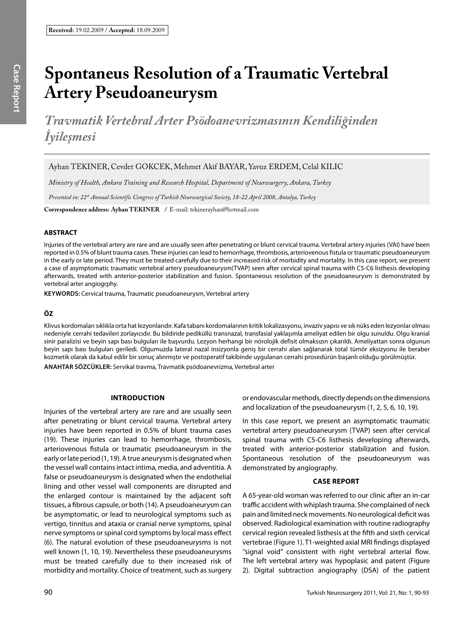# **Spontaneus Resolution of a Traumatic Vertebral Artery Pseudoaneurysm**

*Travmatik Vertebral Arter Psödoanevrizmasının Kendiliğinden İyileşmesi*

Ayhan TekIner, Cevdet Gokcek, Mehmet Akif Bayar, Yavuz Erdem, Celal KılıC

*Ministry of Health, Ankara Training and Research Hospital, Department of Neurosurgery, Ankara, Turkey*

*Presented in: 22th Annual Scientific Congress of Turkish Neurosurgical Society, 18-22 April 2008, Antalya, Turkey*

**Correspondence address: Ayhan TekIner /** E-mail: tekinerayhan@hotmail.com

## **ABSTRACT**

Injuries of the vertebral artery are rare and are usually seen after penetrating or blunt cervical trauma. Vertebral artery injuries (VAI) have been reported in 0.5% of blunt trauma cases. These injuries can lead to hemorrhage, thrombosis, arteriovenous fistula or traumatic pseudoaneurysm in the early or late period. They must be treated carefully due to their increased risk of morbidity and mortality. In this case report, we present a case of asymptomatic traumatic vertebral artery pseudoaneurysm(TVAP) seen after cervical spinal trauma with C5-C6 listhesis developing afterwards, treated with anterior-posterior stabilization and fusion. Spontaneous resolution of the pseudoaneurysm is demonstrated by vertebral arter angiogrphy.

**Keywords:** Cervical trauma, Traumatic pseudoaneurysm, Vertebral artery

## **ÖZ**

Klivus kordomaları sıklıkla orta hat lezyonlarıdır. Kafa tabanı kordomalarının kritik lokalizasyonu, invaziv yapısı ve sık nüks eden lezyonlar olması nedeniyle cerrahi tedavileri zorlayıcıdır. Bu bildiride pediküllü transnazal, transfasial yaklaşımla ameliyat edilen bir olgu sunuldu. Olgu kranial sinir paralizisi ve beyin sapı bası bulguları ile başvurdu. Lezyon herhangi bir nörolojik defisit olmaksızın çıkarıldı. Ameliyattan sonra olgunun beyin sapı bası bulguları geriledi. Olgumuzda lateral nazal insizyonla geniş bir cerrahi alan sağlanarak total tümör eksizyonu ile beraber kozmetik olarak da kabul edilir bir sonuç alınmıştır ve postoperatif takibinde uygulanan cerrahi prosedürün başarılı olduğu görülmüştür. **ANAHTAR SÖZCÜKLER:** Servikal travma, Travmatik psödoanevrizma, Vertebral arter

# **Introduction**

Injuries of the vertebral artery are rare and are usually seen after penetrating or blunt cervical trauma. Vertebral artery injuries have been reported in 0.5% of blunt trauma cases (19). These injuries can lead to hemorrhage, thrombosis, arteriovenous fistula or traumatic pseudoaneurysm in the early or late period (1, 19). A true aneurysm is designated when the vessel wall contains intact intima, media, and adventitia. A false or pseudoaneurysm is designated when the endothelial lining and other vessel wall components are disrupted and the enlarged contour is maintained by the adjacent soft tissues, a fibrous capsule, or both (14). A pseudoaneurysm can be asymptomatic, or lead to neurological symptoms such as vertigo, tinnitus and ataxia or cranial nerve symptoms, spinal nerve symptoms or spinal cord symptoms by local mass effect (6). The natural evolution of these pseudoaneurysms is not well known (1, 10, 19). Nevertheless these pseudoaneurysms must be treated carefully due to their increased risk of morbidity and mortality. Choice of treatment, such as surgery or endovascular methods, directly depends on the dimensions and localization of the pseudoaneurysm (1, 2, 5, 6, 10, 19).

In this case report, we present an asymptomatic traumatic vertebral artery pseudoaneurysm (TVAP) seen after cervical spinal trauma with C5-C6 listhesis developing afterwards, treated with anterior-posterior stabilization and fusion. Spontaneous resolution of the pseudoaneurysm was demonstrated by angiography.

# **Case Report**

A 65-year-old woman was referred to our clinic after an in-car traffic accident with whiplash trauma. She complained of neck pain and limited neck movements. No neurological deficit was observed. Radiological examination with routine radiography cervical region revealed listhesis at the fifth and sixth cervical vertebrae (Figure 1). T1-weighted axial MRI findings displayed "signal void" consistent with right vertebral arterial flow. The left vertebral artery was hypoplasic and patent (Figure 2). Digital subtraction angiography (DSA) of the patient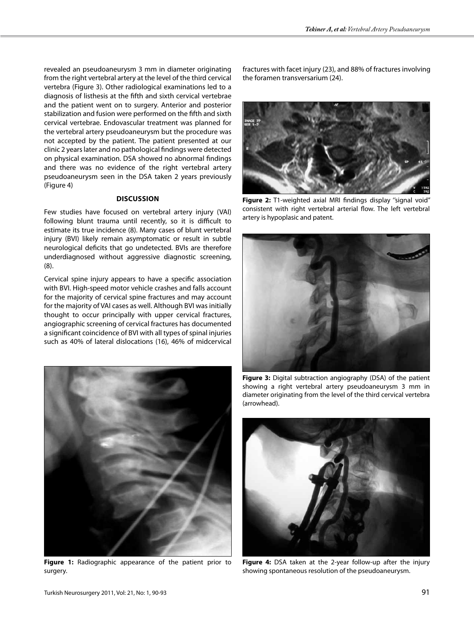revealed an pseudoaneurysm 3 mm in diameter originating from the right vertebral artery at the level of the third cervical vertebra (Figure 3). Other radiological examinations led to a diagnosis of listhesis at the fifth and sixth cervical vertebrae and the patient went on to surgery. Anterior and posterior stabilization and fusion were performed on the fifth and sixth cervical vertebrae. Endovascular treatment was planned for the vertebral artery pseudoaneurysm but the procedure was not accepted by the patient. The patient presented at our clinic 2 years later and no pathological findings were detected on physical examination. DSA showed no abnormal findings and there was no evidence of the right vertebral artery pseudoaneurysm seen in the DSA taken 2 years previously (Figure 4)

## **Discussion**

Few studies have focused on vertebral artery injury (VAI) following blunt trauma until recently, so it is difficult to estimate its true incidence (8). Many cases of blunt vertebral injury (BVI) likely remain asymptomatic or result in subtle neurological deficits that go undetected. BVIs are therefore underdiagnosed without aggressive diagnostic screening, (8).

Cervical spine injury appears to have a specific association with BVI. High-speed motor vehicle crashes and falls account for the majority of cervical spine fractures and may account for the majority of VAI cases as well. Although BVI was initially thought to occur principally with upper cervical fractures, angiographic screening of cervical fractures has documented a significant coincidence of BVI with all types of spinal injuries such as 40% of lateral dislocations (16), 46% of midcervical



Figure 1: Radiographic appearance of the patient prior to surgery.

fractures with facet injury (23), and 88% of fractures involving the foramen transversarium (24).



Figure 2: T1-weighted axial MRI findings display "signal void" consistent with right vertebral arterial flow. The left vertebral artery is hypoplasic and patent.



**Figure 3:** Digital subtraction angiography (DSA) of the patient showing a right vertebral artery pseudoaneurysm 3 mm in diameter originating from the level of the third cervical vertebra (arrowhead).



Figure 4: DSA taken at the 2-year follow-up after the injury showing spontaneous resolution of the pseudoaneurysm.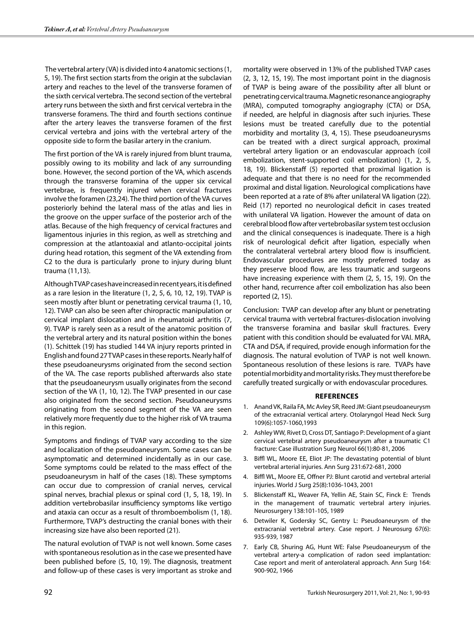The vertebral artery (VA) is divided into 4 anatomic sections (1, 5, 19). The first section starts from the origin at the subclavian artery and reaches to the level of the transverse foramen of the sixth cervical vertebra. The second section of the vertebral artery runs between the sixth and first cervical vertebra in the transverse foramens. The third and fourth sections continue after the artery leaves the transverse foramen of the first cervical vertebra and joins with the vertebral artery of the opposite side to form the basilar artery in the cranium.

The first portion of the VA is rarely injured from blunt trauma, possibly owing to its mobility and lack of any surrounding bone. However, the second portion of the VA, which ascends through the transverse foramina of the upper six cervical vertebrae, is frequently injured when cervical fractures involve the foramen (23,24). The third portion of the VA curves posteriorly behind the lateral mass of the atlas and lies in the groove on the upper surface of the posterior arch of the atlas. Because of the high frequency of cervical fractures and ligamentous injuries in this region, as well as stretching and compression at the atlantoaxial and atlanto-occipital joints during head rotation, this segment of the VA extending from C2 to the dura is particularly prone to injury during blunt trauma (11,13).

Although TVAP cases have increased in recent years, it is defined as a rare lesion in the literature (1, 2, 5, 6, 10, 12, 19). TVAP is seen mostly after blunt or penetrating cervical trauma (1, 10, 12). TVAP can also be seen after chiropractic manipulation or cervical implant dislocation and in rheumatoid arthritis (7, 9). TVAP is rarely seen as a result of the anatomic position of the vertebral artery and its natural position within the bones (1). Schittek (19) has studied 144 VA injury reports printed in English and found 27 TVAP cases in these reports. Nearly half of these pseudoaneurysms originated from the second section of the VA. The case reports published afterwards also state that the pseudoaneurysm usually originates from the second section of the VA (1, 10, 12). The TVAP presented in our case also originated from the second section. Pseudoaneurysms originating from the second segment of the VA are seen relatively more frequently due to the higher risk of VA trauma in this region.

Symptoms and findings of TVAP vary according to the size and localization of the pseudoaneurysm. Some cases can be asymptomatic and determined incidentally as in our case. Some symptoms could be related to the mass effect of the pseudoaneurysm in half of the cases (18). These symptoms can occur due to compression of cranial nerves, cervical spinal nerves, brachial plexus or spinal cord (1, 5, 18, 19). In addition vertebrobasilar insufficiency symptoms like vertigo and ataxia can occur as a result of thromboembolism (1, 18). Furthermore, TVAP's destructing the cranial bones with their increasing size have also been reported (21).

The natural evolution of TVAP is not well known. Some cases with spontaneous resolution as in the case we presented have been published before (5, 10, 19). The diagnosis, treatment and follow-up of these cases is very important as stroke and mortality were observed in 13% of the published TVAP cases (2, 3, 12, 15, 19). The most important point in the diagnosis of TVAP is being aware of the possibility after all blunt or penetrating cervical trauma. Magnetic resonance angiography (MRA), computed tomography angiography (CTA) or DSA, if needed, are helpful in diagnosis after such injuries. These lesions must be treated carefully due to the potential morbidity and mortality (3, 4, 15). These pseudoaneurysms can be treated with a direct surgical approach, proximal vertebral artery ligation or an endovascular approach (coil embolization, stent-supported coil embolization) (1, 2, 5, 18, 19). Blickenstaff (5) reported that proximal ligation is adequate and that there is no need for the recommended proximal and distal ligation. Neurological complications have been reported at a rate of 8% after unilateral VA ligation (22). Reid (17) reported no neurological deficit in cases treated with unilateral VA ligation. However the amount of data on cerebral blood flow after vertebrobasilar system test occlusion and the clinical consequences is inadequate. There is a high risk of neurological deficit after ligation, especially when the contralateral vertebral artery blood flow is insufficient. Endovascular procedures are mostly preferred today as they preserve blood flow, are less traumatic and surgeons have increasing experience with them (2, 5, 15, 19). On the other hand, recurrence after coil embolization has also been reported (2, 15).

Conclusion: TVAP can develop after any blunt or penetrating cervical trauma with vertebral fractures-dislocation involving the transverse foramina and basilar skull fractures. Every patient with this condition should be evaluated for VAI. MRA, CTA and DSA, if required, provide enough information for the diagnosis. The natural evolution of TVAP is not well known. Spontaneous resolution of these lesions is rare. TVAPs have potential morbidity and mortality risks. They must therefore be carefully treated surgically or with endovascular procedures.

#### **References**

- 1. Anand VK, Raila FA, Mc Avley SR, Reed JM: Giant pseudoaneurysm of the extracranial vertical artery. Otolaryngol Head Neck Surg 109(6):1057-1060,1993
- 2. Ashley WW, Rivet D, Cross DT, Santiago P: Development of a giant cervical vertebral artery pseudoaneurysm after a traumatic C1 fracture: Case illustration Surg Neurol 66(1):80-81, 2006
- 3. Biffl WL, Moore EE, Eliot JP: The devastating potential of blunt vertebral arterial injuries. Ann Surg 231:672-681, 2000
- 4. Biffl WL, Moore EE, Offner PJ: Blunt carotid and vertebral arterial injuries. World J Surg 25(8):1036-1043, 2001
- 5. Blickenstaff KL, Weaver FA, Yellin AE, Stain SC, Finck E: Trends in the management of traumatic vertebral artery injuries. Neurosurgery 138:101-105, 1989
- 6. Detwiler K, Godersky SC, Gentry L: Pseudoaneurysm of the extracranial vertebral artery. Case report. J Neurosurg 67(6): 935-939, 1987
- 7. Early CB, Shuring AG, Hunt WE: False Pseudoaneurysm of the vertebral artery-a complication of radon seed implantation: Case report and merit of anterolateral approach. Ann Surg 164: 900-902, 1966